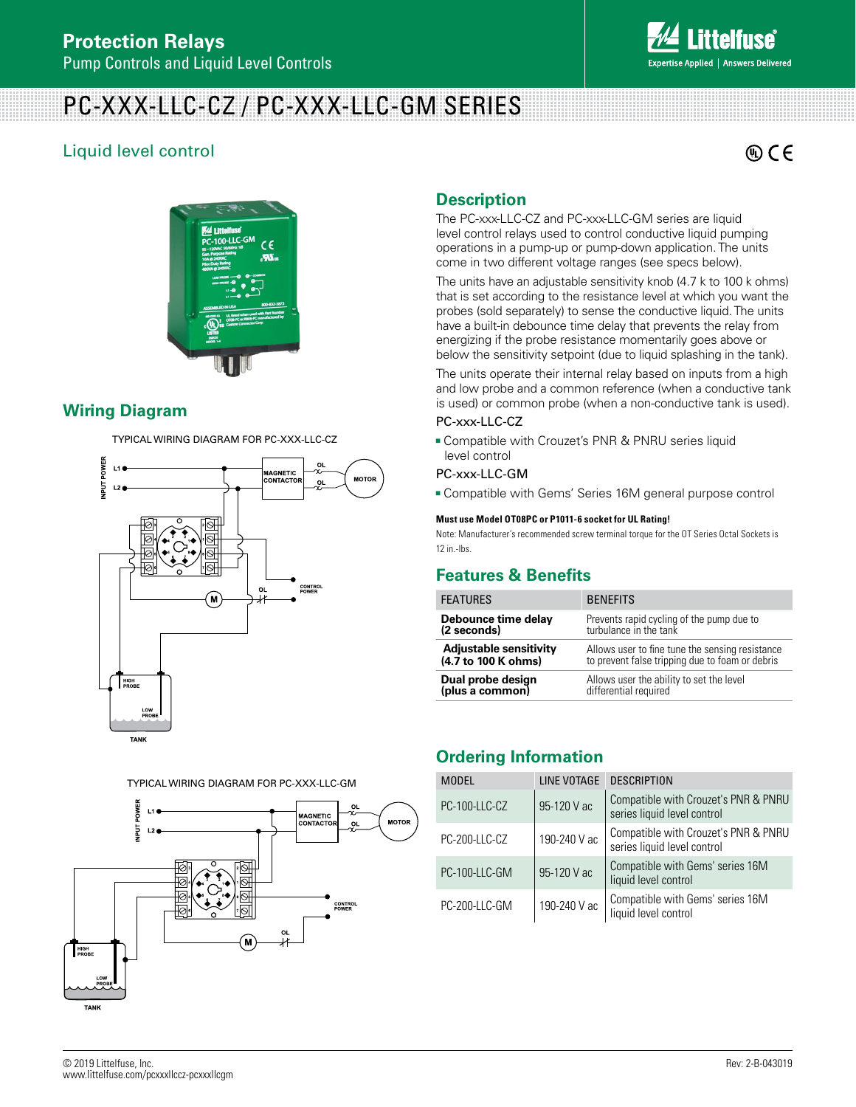## **Protection Relays**

Pump Controls and Liquid Level Controls

## PC-XXX-LLC-CZ / PC-XXX-LLC-GM SERIES

## Liquid level control

 $\circledR$  CE



## **Wiring Diagram**

TYPICAL WIRING DIAGRAM FOR PC-XXX-LLC-CZ



TYPICAL WIRING DIAGRAM FOR PC-XXX-LLC-GM



## **Description**

The PC-xxx-LLC-CZ and PC-xxx-LLC-GM series are liquid level control relays used to control conductive liquid pumping operations in a pump-up or pump-down application. The units come in two different voltage ranges (see specs below).

The units have an adjustable sensitivity knob (4.7 k to 100 k ohms) that is set according to the resistance level at which you want the probes (sold separately) to sense the conductive liquid. The units have a built-in debounce time delay that prevents the relay from energizing if the probe resistance momentarily goes above or below the sensitivity setpoint (due to liquid splashing in the tank).

The units operate their internal relay based on inputs from a high and low probe and a common reference (when a conductive tank is used) or common probe (when a non-conductive tank is used).

#### PC-xxx-LLC-CZ

**Compatible with Crouzet's PNR & PNRU series liquid** level control

#### PC-xxx-LLC-GM

<sup>g</sup> Compatible with Gems' Series 16M general purpose control

#### **Must use Model OT08PC or P1011-6 socket for UL Rating!**

Note: Manufacturer's recommended screw terminal torque for the OT Series Octal Sockets is 12 in.-lbs.

### **Features & Benefits**

| <b>FEATURES</b>                      | <b>BENEFITS</b>                                                   |  |
|--------------------------------------|-------------------------------------------------------------------|--|
| Debounce time delay                  | Prevents rapid cycling of the pump due to                         |  |
| (2 seconds)                          | turbulance in the tank                                            |  |
| <b>Adjustable sensitivity</b>        | Allows user to fine tune the sensing resistance                   |  |
| (4.7 to 100 K ohms)                  | to prevent false tripping due to foam or debris                   |  |
| Dual probe design<br>(plus a common) | Allows user the ability to set the level<br>differential required |  |

### **Ordering Information**

| <b>MODEL</b>  | LINE VOTAGE  | <b>DESCRIPTION</b>                                                  |
|---------------|--------------|---------------------------------------------------------------------|
| PC-100-LLC-CZ | 95-120 V ac  | Compatible with Crouzet's PNR & PNRU<br>series liquid level control |
| PC-200-LLC-CZ | 190-240 V ac | Compatible with Crouzet's PNR & PNRU<br>series liquid level control |
| PC-100-LLC-GM | 95-120 V ac  | Compatible with Gems' series 16M<br>liquid level control            |
| PC-200-LLC-GM | 190-240 V ac | Compatible with Gems' series 16M<br>liquid level control            |